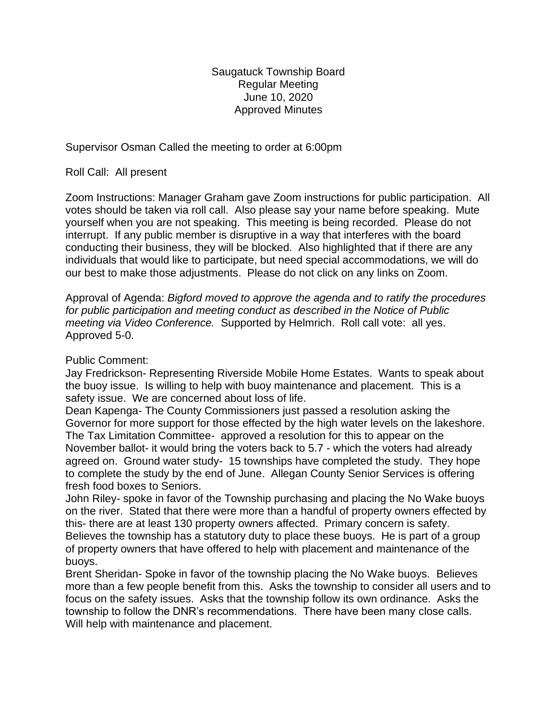Saugatuck Township Board Regular Meeting June 10, 2020 Approved Minutes

Supervisor Osman Called the meeting to order at 6:00pm

Roll Call: All present

Zoom Instructions: Manager Graham gave Zoom instructions for public participation. All votes should be taken via roll call. Also please say your name before speaking. Mute yourself when you are not speaking. This meeting is being recorded. Please do not interrupt. If any public member is disruptive in a way that interferes with the board conducting their business, they will be blocked. Also highlighted that if there are any individuals that would like to participate, but need special accommodations, we will do our best to make those adjustments. Please do not click on any links on Zoom.

Approval of Agenda: *Bigford moved to approve the agenda and to ratify the procedures for public participation and meeting conduct as described in the Notice of Public meeting via Video Conference.* Supported by Helmrich. Roll call vote: all yes. Approved 5-0.

## Public Comment:

Jay Fredrickson- Representing Riverside Mobile Home Estates. Wants to speak about the buoy issue. Is willing to help with buoy maintenance and placement. This is a safety issue. We are concerned about loss of life.

Dean Kapenga- The County Commissioners just passed a resolution asking the Governor for more support for those effected by the high water levels on the lakeshore. The Tax Limitation Committee- approved a resolution for this to appear on the November ballot- it would bring the voters back to 5.7 - which the voters had already agreed on. Ground water study- 15 townships have completed the study. They hope to complete the study by the end of June. Allegan County Senior Services is offering fresh food boxes to Seniors.

John Riley- spoke in favor of the Township purchasing and placing the No Wake buoys on the river. Stated that there were more than a handful of property owners effected by this- there are at least 130 property owners affected. Primary concern is safety. Believes the township has a statutory duty to place these buoys. He is part of a group of property owners that have offered to help with placement and maintenance of the buoys.

Brent Sheridan- Spoke in favor of the township placing the No Wake buoys. Believes more than a few people benefit from this. Asks the township to consider all users and to focus on the safety issues. Asks that the township follow its own ordinance. Asks the township to follow the DNR's recommendations. There have been many close calls. Will help with maintenance and placement.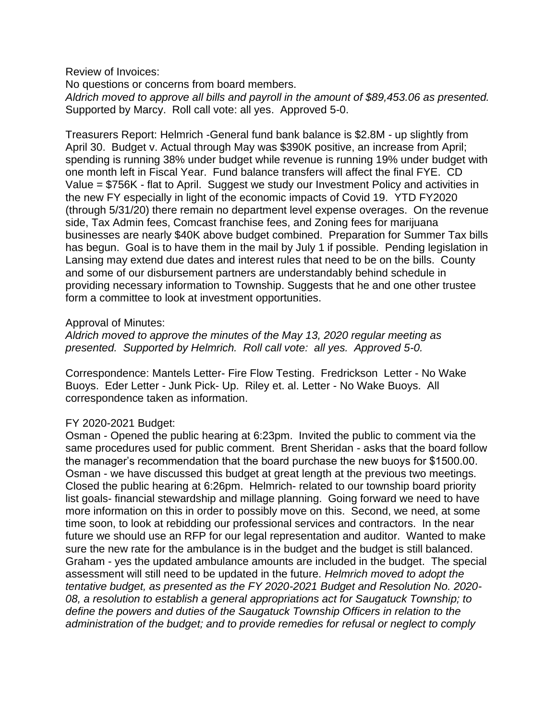Review of Invoices:

No questions or concerns from board members. *Aldrich moved to approve all bills and payroll in the amount of \$89,453.06 as presented.* Supported by Marcy. Roll call vote: all yes. Approved 5-0.

Treasurers Report: Helmrich -General fund bank balance is \$2.8M - up slightly from April 30. Budget v. Actual through May was \$390K positive, an increase from April; spending is running 38% under budget while revenue is running 19% under budget with one month left in Fiscal Year. Fund balance transfers will affect the final FYE. CD Value = \$756K - flat to April. Suggest we study our Investment Policy and activities in the new FY especially in light of the economic impacts of Covid 19. YTD FY2020 (through 5/31/20) there remain no department level expense overages. On the revenue side, Tax Admin fees, Comcast franchise fees, and Zoning fees for marijuana businesses are nearly \$40K above budget combined. Preparation for Summer Tax bills has begun. Goal is to have them in the mail by July 1 if possible. Pending legislation in Lansing may extend due dates and interest rules that need to be on the bills. County and some of our disbursement partners are understandably behind schedule in providing necessary information to Township. Suggests that he and one other trustee form a committee to look at investment opportunities.

### Approval of Minutes:

*Aldrich moved to approve the minutes of the May 13, 2020 regular meeting as presented. Supported by Helmrich. Roll call vote: all yes. Approved 5-0.* 

Correspondence: Mantels Letter- Fire Flow Testing. Fredrickson Letter - No Wake Buoys. Eder Letter - Junk Pick- Up. Riley et. al. Letter - No Wake Buoys. All correspondence taken as information.

# FY 2020-2021 Budget:

Osman - Opened the public hearing at 6:23pm. Invited the public to comment via the same procedures used for public comment. Brent Sheridan - asks that the board follow the manager's recommendation that the board purchase the new buoys for \$1500.00. Osman - we have discussed this budget at great length at the previous two meetings. Closed the public hearing at 6:26pm. Helmrich- related to our township board priority list goals- financial stewardship and millage planning. Going forward we need to have more information on this in order to possibly move on this. Second, we need, at some time soon, to look at rebidding our professional services and contractors. In the near future we should use an RFP for our legal representation and auditor. Wanted to make sure the new rate for the ambulance is in the budget and the budget is still balanced. Graham - yes the updated ambulance amounts are included in the budget. The special assessment will still need to be updated in the future. *Helmrich moved to adopt the tentative budget, as presented as the FY 2020-2021 Budget and Resolution No. 2020- 08, a resolution to establish a general appropriations act for Saugatuck Township; to define the powers and duties of the Saugatuck Township Officers in relation to the administration of the budget; and to provide remedies for refusal or neglect to comply*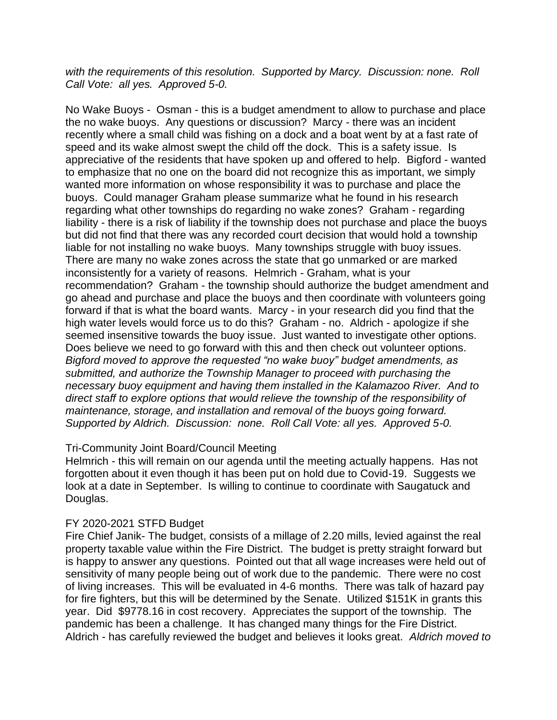*with the requirements of this resolution. Supported by Marcy. Discussion: none. Roll Call Vote: all yes. Approved 5-0.* 

No Wake Buoys - Osman - this is a budget amendment to allow to purchase and place the no wake buoys. Any questions or discussion? Marcy - there was an incident recently where a small child was fishing on a dock and a boat went by at a fast rate of speed and its wake almost swept the child off the dock. This is a safety issue. Is appreciative of the residents that have spoken up and offered to help. Bigford - wanted to emphasize that no one on the board did not recognize this as important, we simply wanted more information on whose responsibility it was to purchase and place the buoys. Could manager Graham please summarize what he found in his research regarding what other townships do regarding no wake zones? Graham - regarding liability - there is a risk of liability if the township does not purchase and place the buoys but did not find that there was any recorded court decision that would hold a township liable for not installing no wake buoys. Many townships struggle with buoy issues. There are many no wake zones across the state that go unmarked or are marked inconsistently for a variety of reasons. Helmrich - Graham, what is your recommendation? Graham - the township should authorize the budget amendment and go ahead and purchase and place the buoys and then coordinate with volunteers going forward if that is what the board wants. Marcy - in your research did you find that the high water levels would force us to do this? Graham - no. Aldrich - apologize if she seemed insensitive towards the buoy issue. Just wanted to investigate other options. Does believe we need to go forward with this and then check out volunteer options. *Bigford moved to approve the requested "no wake buoy" budget amendments, as submitted, and authorize the Township Manager to proceed with purchasing the necessary buoy equipment and having them installed in the Kalamazoo River. And to direct staff to explore options that would relieve the township of the responsibility of maintenance, storage, and installation and removal of the buoys going forward. Supported by Aldrich. Discussion: none. Roll Call Vote: all yes. Approved 5-0.*

### Tri-Community Joint Board/Council Meeting

Helmrich - this will remain on our agenda until the meeting actually happens. Has not forgotten about it even though it has been put on hold due to Covid-19. Suggests we look at a date in September. Is willing to continue to coordinate with Saugatuck and Douglas.

### FY 2020-2021 STFD Budget

Fire Chief Janik- The budget, consists of a millage of 2.20 mills, levied against the real property taxable value within the Fire District. The budget is pretty straight forward but is happy to answer any questions. Pointed out that all wage increases were held out of sensitivity of many people being out of work due to the pandemic. There were no cost of living increases. This will be evaluated in 4-6 months. There was talk of hazard pay for fire fighters, but this will be determined by the Senate. Utilized \$151K in grants this year. Did \$9778.16 in cost recovery. Appreciates the support of the township. The pandemic has been a challenge. It has changed many things for the Fire District. Aldrich - has carefully reviewed the budget and believes it looks great. *Aldrich moved to*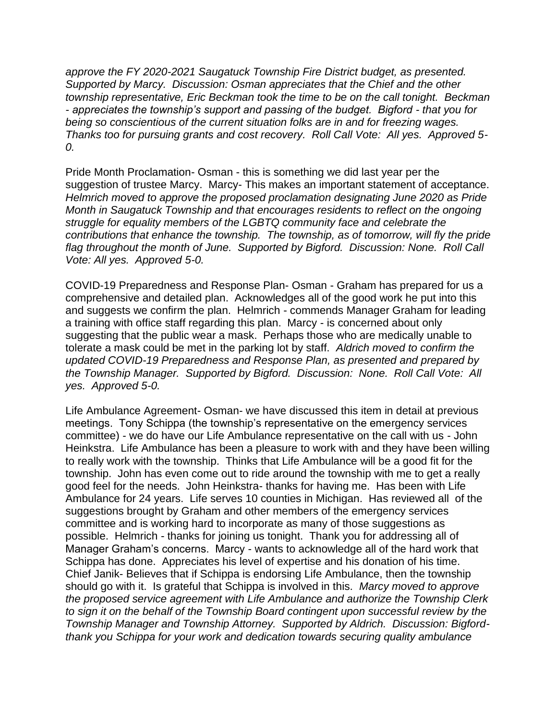*approve the FY 2020-2021 Saugatuck Township Fire District budget, as presented. Supported by Marcy. Discussion: Osman appreciates that the Chief and the other township representative, Eric Beckman took the time to be on the call tonight. Beckman - appreciates the township's support and passing of the budget. Bigford - that you for being so conscientious of the current situation folks are in and for freezing wages. Thanks too for pursuing grants and cost recovery. Roll Call Vote: All yes. Approved 5- 0.* 

Pride Month Proclamation- Osman - this is something we did last year per the suggestion of trustee Marcy. Marcy- This makes an important statement of acceptance. *Helmrich moved to approve the proposed proclamation designating June 2020 as Pride Month in Saugatuck Township and that encourages residents to reflect on the ongoing struggle for equality members of the LGBTQ community face and celebrate the contributions that enhance the township. The township, as of tomorrow, will fly the pride*  flag throughout the month of June. Supported by Bigford. Discussion: None. Roll Call *Vote: All yes. Approved 5-0.*

COVID-19 Preparedness and Response Plan- Osman - Graham has prepared for us a comprehensive and detailed plan. Acknowledges all of the good work he put into this and suggests we confirm the plan. Helmrich - commends Manager Graham for leading a training with office staff regarding this plan. Marcy - is concerned about only suggesting that the public wear a mask. Perhaps those who are medically unable to tolerate a mask could be met in the parking lot by staff. *Aldrich moved to confirm the updated COVID-19 Preparedness and Response Plan, as presented and prepared by the Township Manager. Supported by Bigford. Discussion: None. Roll Call Vote: All yes. Approved 5-0.*

Life Ambulance Agreement- Osman- we have discussed this item in detail at previous meetings. Tony Schippa (the township's representative on the emergency services committee) - we do have our Life Ambulance representative on the call with us - John Heinkstra. Life Ambulance has been a pleasure to work with and they have been willing to really work with the township. Thinks that Life Ambulance will be a good fit for the township. John has even come out to ride around the township with me to get a really good feel for the needs. John Heinkstra- thanks for having me. Has been with Life Ambulance for 24 years. Life serves 10 counties in Michigan. Has reviewed all of the suggestions brought by Graham and other members of the emergency services committee and is working hard to incorporate as many of those suggestions as possible. Helmrich - thanks for joining us tonight. Thank you for addressing all of Manager Graham's concerns. Marcy - wants to acknowledge all of the hard work that Schippa has done. Appreciates his level of expertise and his donation of his time. Chief Janik- Believes that if Schippa is endorsing Life Ambulance, then the township should go with it. Is grateful that Schippa is involved in this. *Marcy moved to approve the proposed service agreement with Life Ambulance and authorize the Township Clerk to sign it on the behalf of the Township Board contingent upon successful review by the Township Manager and Township Attorney. Supported by Aldrich. Discussion: Bigfordthank you Schippa for your work and dedication towards securing quality ambulance*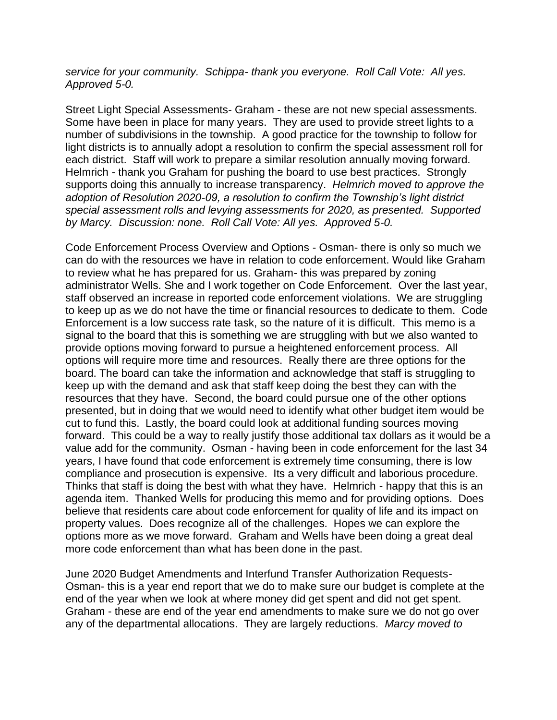*service for your community. Schippa- thank you everyone. Roll Call Vote: All yes. Approved 5-0.* 

Street Light Special Assessments- Graham - these are not new special assessments. Some have been in place for many years. They are used to provide street lights to a number of subdivisions in the township. A good practice for the township to follow for light districts is to annually adopt a resolution to confirm the special assessment roll for each district. Staff will work to prepare a similar resolution annually moving forward. Helmrich - thank you Graham for pushing the board to use best practices. Strongly supports doing this annually to increase transparency. *Helmrich moved to approve the adoption of Resolution 2020-09, a resolution to confirm the Township's light district special assessment rolls and levying assessments for 2020, as presented. Supported by Marcy. Discussion: none. Roll Call Vote: All yes. Approved 5-0.* 

Code Enforcement Process Overview and Options - Osman- there is only so much we can do with the resources we have in relation to code enforcement. Would like Graham to review what he has prepared for us. Graham- this was prepared by zoning administrator Wells. She and I work together on Code Enforcement. Over the last year, staff observed an increase in reported code enforcement violations. We are struggling to keep up as we do not have the time or financial resources to dedicate to them. Code Enforcement is a low success rate task, so the nature of it is difficult. This memo is a signal to the board that this is something we are struggling with but we also wanted to provide options moving forward to pursue a heightened enforcement process. All options will require more time and resources. Really there are three options for the board. The board can take the information and acknowledge that staff is struggling to keep up with the demand and ask that staff keep doing the best they can with the resources that they have. Second, the board could pursue one of the other options presented, but in doing that we would need to identify what other budget item would be cut to fund this. Lastly, the board could look at additional funding sources moving forward. This could be a way to really justify those additional tax dollars as it would be a value add for the community. Osman - having been in code enforcement for the last 34 years, I have found that code enforcement is extremely time consuming, there is low compliance and prosecution is expensive. Its a very difficult and laborious procedure. Thinks that staff is doing the best with what they have. Helmrich - happy that this is an agenda item. Thanked Wells for producing this memo and for providing options. Does believe that residents care about code enforcement for quality of life and its impact on property values. Does recognize all of the challenges. Hopes we can explore the options more as we move forward. Graham and Wells have been doing a great deal more code enforcement than what has been done in the past.

June 2020 Budget Amendments and Interfund Transfer Authorization Requests-Osman- this is a year end report that we do to make sure our budget is complete at the end of the year when we look at where money did get spent and did not get spent. Graham - these are end of the year end amendments to make sure we do not go over any of the departmental allocations. They are largely reductions. *Marcy moved to*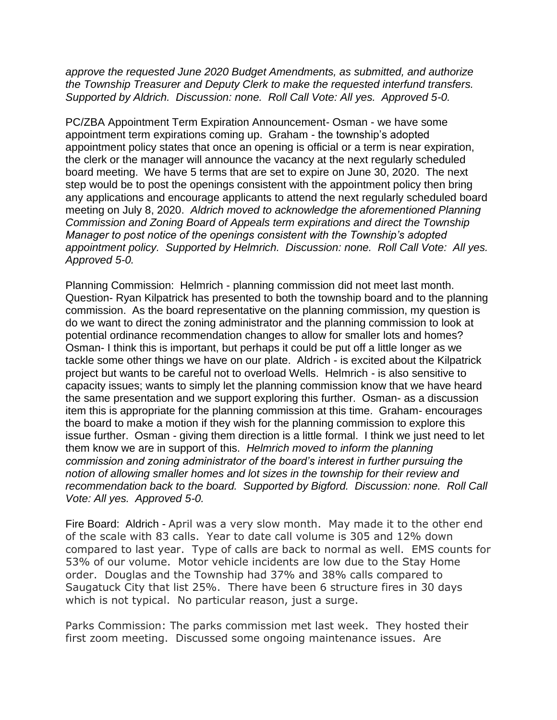*approve the requested June 2020 Budget Amendments, as submitted, and authorize the Township Treasurer and Deputy Clerk to make the requested interfund transfers. Supported by Aldrich. Discussion: none. Roll Call Vote: All yes. Approved 5-0.*

PC/ZBA Appointment Term Expiration Announcement- Osman - we have some appointment term expirations coming up. Graham - the township's adopted appointment policy states that once an opening is official or a term is near expiration, the clerk or the manager will announce the vacancy at the next regularly scheduled board meeting. We have 5 terms that are set to expire on June 30, 2020. The next step would be to post the openings consistent with the appointment policy then bring any applications and encourage applicants to attend the next regularly scheduled board meeting on July 8, 2020. *Aldrich moved to acknowledge the aforementioned Planning Commission and Zoning Board of Appeals term expirations and direct the Township Manager to post notice of the openings consistent with the Township's adopted appointment policy. Supported by Helmrich. Discussion: none. Roll Call Vote: All yes. Approved 5-0.*

Planning Commission: Helmrich - planning commission did not meet last month. Question- Ryan Kilpatrick has presented to both the township board and to the planning commission. As the board representative on the planning commission, my question is do we want to direct the zoning administrator and the planning commission to look at potential ordinance recommendation changes to allow for smaller lots and homes? Osman- I think this is important, but perhaps it could be put off a little longer as we tackle some other things we have on our plate. Aldrich - is excited about the Kilpatrick project but wants to be careful not to overload Wells. Helmrich - is also sensitive to capacity issues; wants to simply let the planning commission know that we have heard the same presentation and we support exploring this further. Osman- as a discussion item this is appropriate for the planning commission at this time. Graham- encourages the board to make a motion if they wish for the planning commission to explore this issue further. Osman - giving them direction is a little formal. I think we just need to let them know we are in support of this. *Helmrich moved to inform the planning commission and zoning administrator of the board's interest in further pursuing the notion of allowing smaller homes and lot sizes in the township for their review and recommendation back to the board. Supported by Bigford. Discussion: none. Roll Call Vote: All yes. Approved 5-0.*

Fire Board: Aldrich - April was a very slow month. May made it to the other end of the scale with 83 calls. Year to date call volume is 305 and 12% down compared to last year. Type of calls are back to normal as well. EMS counts for 53% of our volume. Motor vehicle incidents are low due to the Stay Home order. Douglas and the Township had 37% and 38% calls compared to Saugatuck City that list 25%. There have been 6 structure fires in 30 days which is not typical. No particular reason, just a surge.

Parks Commission: The parks commission met last week. They hosted their first zoom meeting. Discussed some ongoing maintenance issues. Are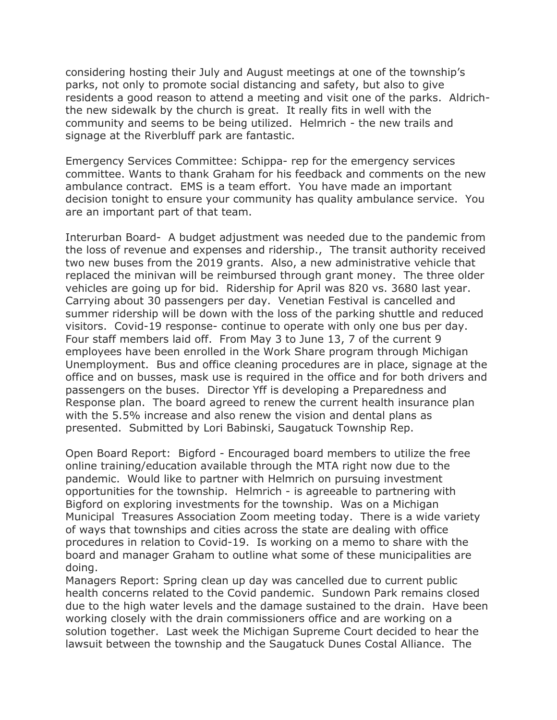considering hosting their July and August meetings at one of the township's parks, not only to promote social distancing and safety, but also to give residents a good reason to attend a meeting and visit one of the parks. Aldrichthe new sidewalk by the church is great. It really fits in well with the community and seems to be being utilized. Helmrich - the new trails and signage at the Riverbluff park are fantastic.

Emergency Services Committee: Schippa- rep for the emergency services committee. Wants to thank Graham for his feedback and comments on the new ambulance contract. EMS is a team effort. You have made an important decision tonight to ensure your community has quality ambulance service. You are an important part of that team.

Interurban Board- A budget adjustment was needed due to the pandemic from the loss of revenue and expenses and ridership., The transit authority received two new buses from the 2019 grants. Also, a new administrative vehicle that replaced the minivan will be reimbursed through grant money. The three older vehicles are going up for bid. Ridership for April was 820 vs. 3680 last year. Carrying about 30 passengers per day. Venetian Festival is cancelled and summer ridership will be down with the loss of the parking shuttle and reduced visitors. Covid-19 response- continue to operate with only one bus per day. Four staff members laid off. From May 3 to June 13, 7 of the current 9 employees have been enrolled in the Work Share program through Michigan Unemployment. Bus and office cleaning procedures are in place, signage at the office and on busses, mask use is required in the office and for both drivers and passengers on the buses. Director Yff is developing a Preparedness and Response plan. The board agreed to renew the current health insurance plan with the 5.5% increase and also renew the vision and dental plans as presented. Submitted by Lori Babinski, Saugatuck Township Rep.

Open Board Report: Bigford - Encouraged board members to utilize the free online training/education available through the MTA right now due to the pandemic. Would like to partner with Helmrich on pursuing investment opportunities for the township. Helmrich - is agreeable to partnering with Bigford on exploring investments for the township. Was on a Michigan Municipal Treasures Association Zoom meeting today. There is a wide variety of ways that townships and cities across the state are dealing with office procedures in relation to Covid-19. Is working on a memo to share with the board and manager Graham to outline what some of these municipalities are doing.

Managers Report: Spring clean up day was cancelled due to current public health concerns related to the Covid pandemic. Sundown Park remains closed due to the high water levels and the damage sustained to the drain. Have been working closely with the drain commissioners office and are working on a solution together. Last week the Michigan Supreme Court decided to hear the lawsuit between the township and the Saugatuck Dunes Costal Alliance. The